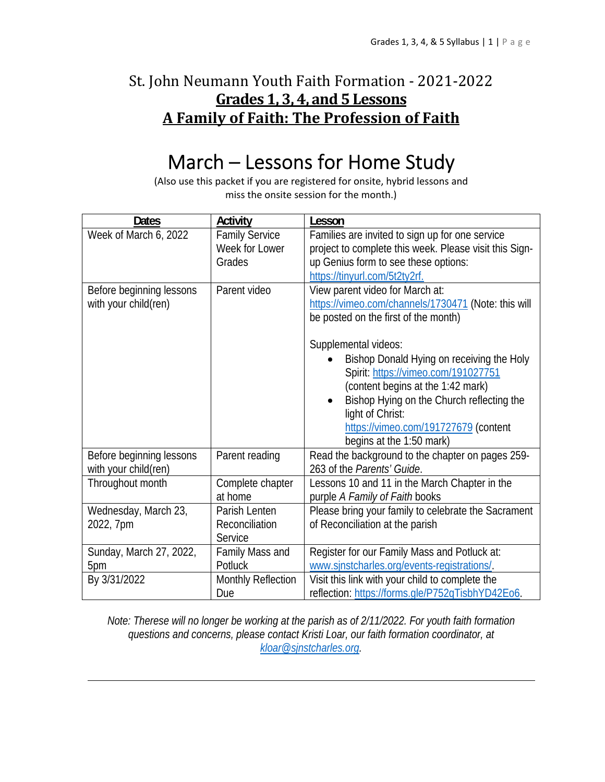## St. John Neumann Youth Faith Formation - 2021-2022 **Grades 1, 3, 4, and 5 Lessons A Family of Faith: The Profession of Faith**

# March – Lessons for Home Study

(Also use this packet if you are registered for onsite, hybrid lessons and miss the onsite session for the month.)

| <b>Dates</b>             | Activity                    | Lesson                                                 |
|--------------------------|-----------------------------|--------------------------------------------------------|
| Week of March 6, 2022    | <b>Family Service</b>       | Families are invited to sign up for one service        |
|                          | Week for Lower              | project to complete this week. Please visit this Sign- |
|                          | Grades                      | up Genius form to see these options:                   |
|                          |                             | https://tinyurl.com/5t2ty2rf.                          |
| Before beginning lessons | Parent video                | View parent video for March at:                        |
| with your child(ren)     |                             | https://vimeo.com/channels/1730471 (Note: this will    |
|                          |                             | be posted on the first of the month)                   |
|                          |                             | Supplemental videos:                                   |
|                          |                             | Bishop Donald Hying on receiving the Holy              |
|                          |                             | Spirit: https://vimeo.com/191027751                    |
|                          |                             | (content begins at the 1:42 mark)                      |
|                          |                             | Bishop Hying on the Church reflecting the              |
|                          |                             | light of Christ:                                       |
|                          |                             | https://vimeo.com/191727679 (content                   |
|                          |                             | begins at the 1:50 mark)                               |
| Before beginning lessons | Parent reading              | Read the background to the chapter on pages 259-       |
| with your child(ren)     |                             | 263 of the Parents' Guide.                             |
|                          |                             |                                                        |
| Throughout month         | Complete chapter<br>at home | Lessons 10 and 11 in the March Chapter in the          |
|                          |                             | purple A Family of Faith books                         |
| Wednesday, March 23,     | Parish Lenten               | Please bring your family to celebrate the Sacrament    |
| 2022, 7pm                | Reconciliation              | of Reconciliation at the parish                        |
|                          | Service                     |                                                        |
| Sunday, March 27, 2022,  | Family Mass and             | Register for our Family Mass and Potluck at:           |
| 5pm                      | Potluck                     | www.sjnstcharles.org/events-registrations/.            |
| By 3/31/2022             | <b>Monthly Reflection</b>   | Visit this link with your child to complete the        |
|                          | Due                         | reflection: https://forms.gle/P752qTisbhYD42Eo6.       |

*Note: Therese will no longer be working at the parish as of 2/11/2022. For youth faith formation questions and concerns, please contact Kristi Loar, our faith formation coordinator, at kloar@sjnstcharles.org.*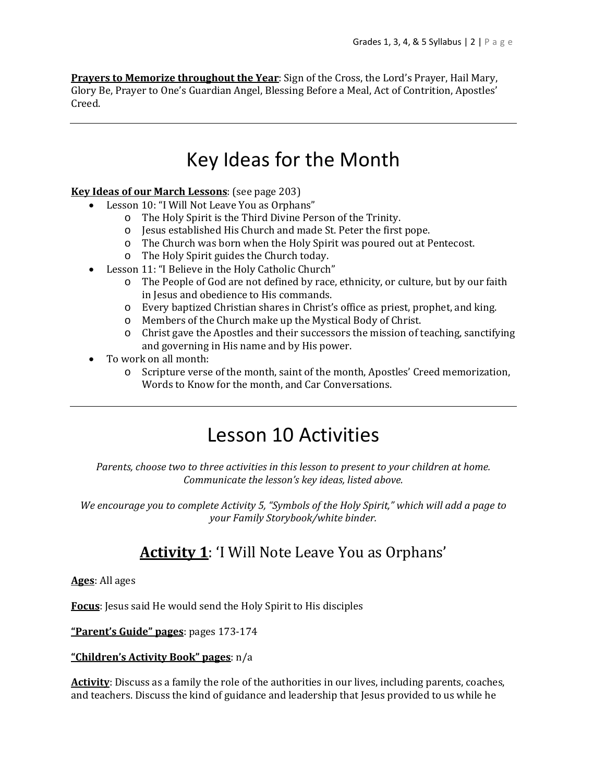**Prayers to Memorize throughout the Year**: Sign of the Cross, the Lord's Prayer, Hail Mary, Glory Be, Prayer to One's Guardian Angel, Blessing Before a Meal, Act of Contrition, Apostles' Creed.

# Key Ideas for the Month

#### **Key Ideas of our March Lessons**: (see page 203)

- Lesson 10: "I Will Not Leave You as Orphans"
	- o The Holy Spirit is the Third Divine Person of the Trinity.
	- o Jesus established His Church and made St. Peter the first pope.
	- o The Church was born when the Holy Spirit was poured out at Pentecost.
	- o The Holy Spirit guides the Church today.
- Lesson 11: "I Believe in the Holy Catholic Church"
	- o The People of God are not defined by race, ethnicity, or culture, but by our faith in Jesus and obedience to His commands.
	- o Every baptized Christian shares in Christ's office as priest, prophet, and king.
	- o Members of the Church make up the Mystical Body of Christ.
	- o Christ gave the Apostles and their successors the mission of teaching, sanctifying and governing in His name and by His power.
- To work on all month:
	- o Scripture verse of the month, saint of the month, Apostles' Creed memorization, Words to Know for the month, and Car Conversations.

# Lesson 10 Activities

*Parents, choose two to three activities in this lesson to present to your children at home. Communicate the lesson's key ideas, listed above.*

*We encourage you to complete Activity 5, "Symbols of the Holy Spirit," which will add a page to your Family Storybook/white binder.*

## **Activity 1**: 'I Will Note Leave You as Orphans'

#### **Ages**: All ages

**Focus**: Jesus said He would send the Holy Spirit to His disciples

**"Parent's Guide" pages**: pages 173-174

#### **"Children's Activity Book" pages**: n/a

**Activity**: Discuss as a family the role of the authorities in our lives, including parents, coaches, and teachers. Discuss the kind of guidance and leadership that Jesus provided to us while he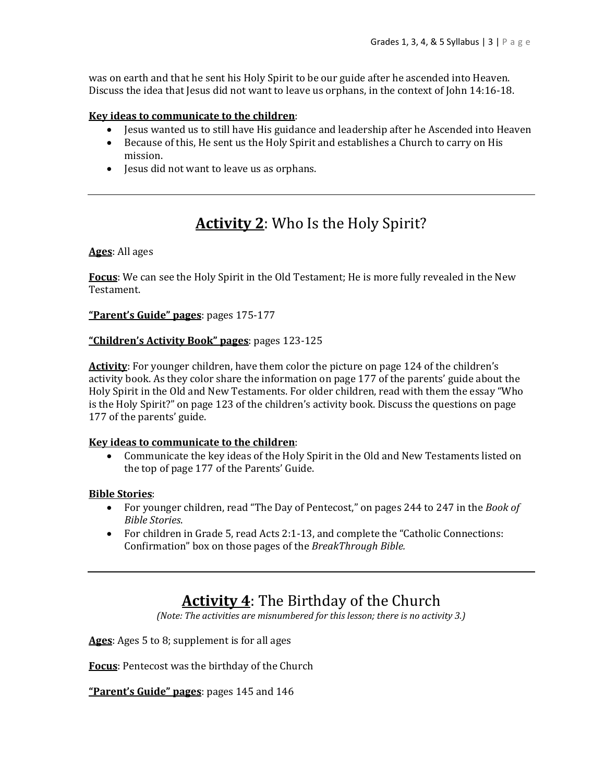was on earth and that he sent his Holy Spirit to be our guide after he ascended into Heaven. Discuss the idea that Jesus did not want to leave us orphans, in the context of John 14:16-18.

#### **Key ideas to communicate to the children**:

- Jesus wanted us to still have His guidance and leadership after he Ascended into Heaven
- Because of this, He sent us the Holy Spirit and establishes a Church to carry on His mission.
- Jesus did not want to leave us as orphans.

### **Activity 2**: Who Is the Holy Spirit?

**Ages**: All ages

**Focus**: We can see the Holy Spirit in the Old Testament; He is more fully revealed in the New Testament.

**"Parent's Guide" pages**: pages 175-177

#### **"Children's Activity Book" pages**: pages 123-125

**Activity**: For younger children, have them color the picture on page 124 of the children's activity book. As they color share the information on page 177 of the parents' guide about the Holy Spirit in the Old and New Testaments. For older children, read with them the essay "Who is the Holy Spirit?" on page 123 of the children's activity book. Discuss the questions on page 177 of the parents' guide.

#### **Key ideas to communicate to the children**:

 Communicate the key ideas of the Holy Spirit in the Old and New Testaments listed on the top of page 177 of the Parents' Guide.

#### **Bible Stories**:

- For younger children, read "The Day of Pentecost," on pages 244 to 247 in the *Book of Bible Stories*.
- For children in Grade 5, read Acts 2:1-13, and complete the "Catholic Connections: Confirmation" box on those pages of the *BreakThrough Bible.*

### **Activity 4**: The Birthday of the Church

*(Note: The activities are misnumbered for this lesson; there is no activity 3.)*

**Ages**: Ages 5 to 8; supplement is for all ages

**Focus**: Pentecost was the birthday of the Church

**"Parent's Guide" pages**: pages 145 and 146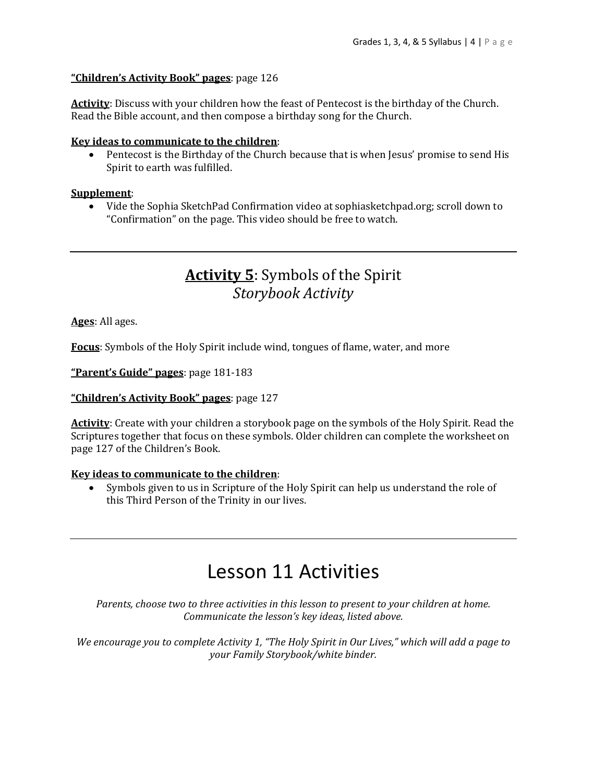#### **"Children's Activity Book" pages**: page 126

**Activity**: Discuss with your children how the feast of Pentecost is the birthday of the Church. Read the Bible account, and then compose a birthday song for the Church.

#### **Key ideas to communicate to the children**:

 Pentecost is the Birthday of the Church because that is when Jesus' promise to send His Spirit to earth was fulfilled.

#### **Supplement**:

 Vide the Sophia SketchPad Confirmation video at sophiasketchpad.org; scroll down to "Confirmation" on the page. This video should be free to watch.

### **Activity 5**: Symbols of the Spirit *Storybook Activity*

**Ages**: All ages.

**Focus**: Symbols of the Holy Spirit include wind, tongues of flame, water, and more

**"Parent's Guide" pages**: page 181-183

**"Children's Activity Book" pages**: page 127

**Activity**: Create with your children a storybook page on the symbols of the Holy Spirit. Read the Scriptures together that focus on these symbols. Older children can complete the worksheet on page 127 of the Children's Book.

#### **Key ideas to communicate to the children**:

 Symbols given to us in Scripture of the Holy Spirit can help us understand the role of this Third Person of the Trinity in our lives.

# Lesson 11 Activities

*Parents, choose two to three activities in this lesson to present to your children at home. Communicate the lesson's key ideas, listed above.*

We encourage you to complete Activity 1, "The Holy Spirit in Our Lives," which will add a page to *your Family Storybook/white binder.*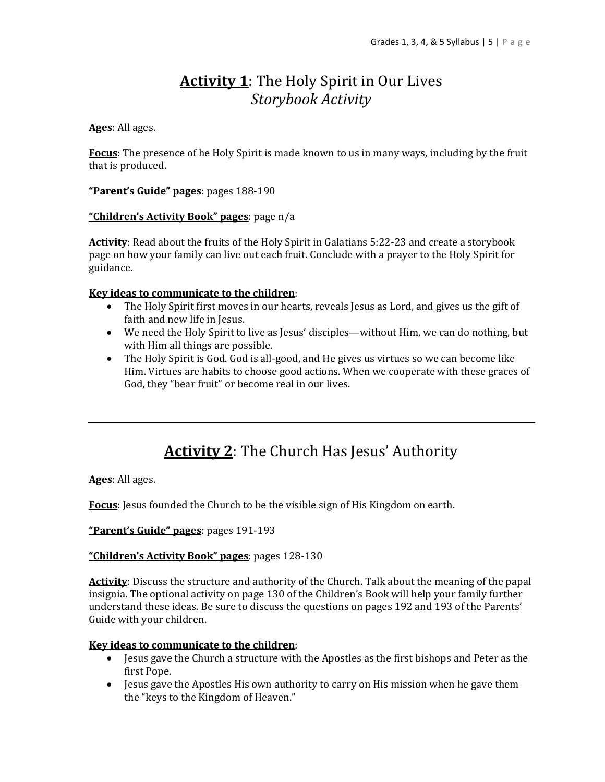## **Activity 1**: The Holy Spirit in Our Lives *Storybook Activity*

#### **Ages**: All ages.

**Focus**: The presence of he Holy Spirit is made known to us in many ways, including by the fruit that is produced.

**"Parent's Guide" pages**: pages 188-190

#### **"Children's Activity Book" pages**: page n/a

**Activity**: Read about the fruits of the Holy Spirit in Galatians 5:22-23 and create a storybook page on how your family can live out each fruit. Conclude with a prayer to the Holy Spirit for guidance.

#### **Key ideas to communicate to the children**:

- The Holy Spirit first moves in our hearts, reveals Jesus as Lord, and gives us the gift of faith and new life in Jesus.
- We need the Holy Spirit to live as Jesus' disciples—without Him, we can do nothing, but with Him all things are possible.
- The Holy Spirit is God. God is all-good, and He gives us virtues so we can become like Him. Virtues are habits to choose good actions. When we cooperate with these graces of God, they "bear fruit" or become real in our lives.

## **Activity 2**: The Church Has Jesus' Authority

**Ages**: All ages.

**Focus**: Jesus founded the Church to be the visible sign of His Kingdom on earth.

**"Parent's Guide" pages**: pages 191-193

#### **"Children's Activity Book" pages**: pages 128-130

**Activity**: Discuss the structure and authority of the Church. Talk about the meaning of the papal insignia. The optional activity on page 130 of the Children's Book will help your family further understand these ideas. Be sure to discuss the questions on pages 192 and 193 of the Parents' Guide with your children.

#### **Key ideas to communicate to the children**:

- Jesus gave the Church a structure with the Apostles as the first bishops and Peter as the first Pope.
- Jesus gave the Apostles His own authority to carry on His mission when he gave them the "keys to the Kingdom of Heaven."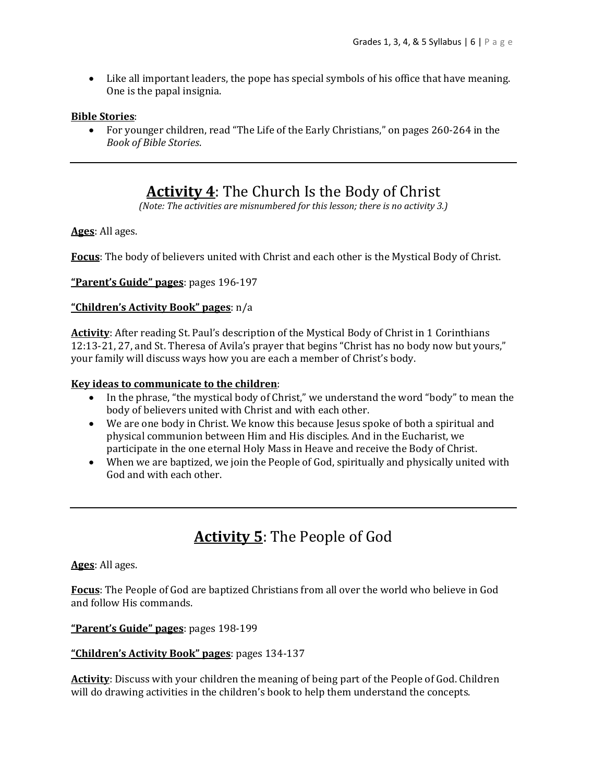Like all important leaders, the pope has special symbols of his office that have meaning. One is the papal insignia.

#### **Bible Stories**:

 For younger children, read "The Life of the Early Christians," on pages 260-264 in the *Book of Bible Stories*.

### **Activity 4**: The Church Is the Body of Christ

*(Note: The activities are misnumbered for this lesson; there is no activity 3.)*

**Ages**: All ages.

**Focus**: The body of believers united with Christ and each other is the Mystical Body of Christ.

**"Parent's Guide" pages**: pages 196-197

#### **"Children's Activity Book" pages**: n/a

Activity: After reading St. Paul's description of the Mystical Body of Christ in 1 Corinthians 12:13-21, 27, and St. Theresa of Avila's prayer that begins "Christ has no body now but yours," your family will discuss ways how you are each a member of Christ's body.

#### **Key ideas to communicate to the children**:

- In the phrase, "the mystical body of Christ," we understand the word "body" to mean the body of believers united with Christ and with each other.
- We are one body in Christ. We know this because Jesus spoke of both a spiritual and physical communion between Him and His disciples. And in the Eucharist, we participate in the one eternal Holy Mass in Heave and receive the Body of Christ.
- When we are baptized, we join the People of God, spiritually and physically united with God and with each other.

## **Activity 5**: The People of God

**Ages**: All ages.

**Focus**: The People of God are baptized Christians from all over the world who believe in God and follow His commands.

**"Parent's Guide" pages**: pages 198-199

#### **"Children's Activity Book" pages**: pages 134-137

**Activity**: Discuss with your children the meaning of being part of the People of God. Children will do drawing activities in the children's book to help them understand the concepts.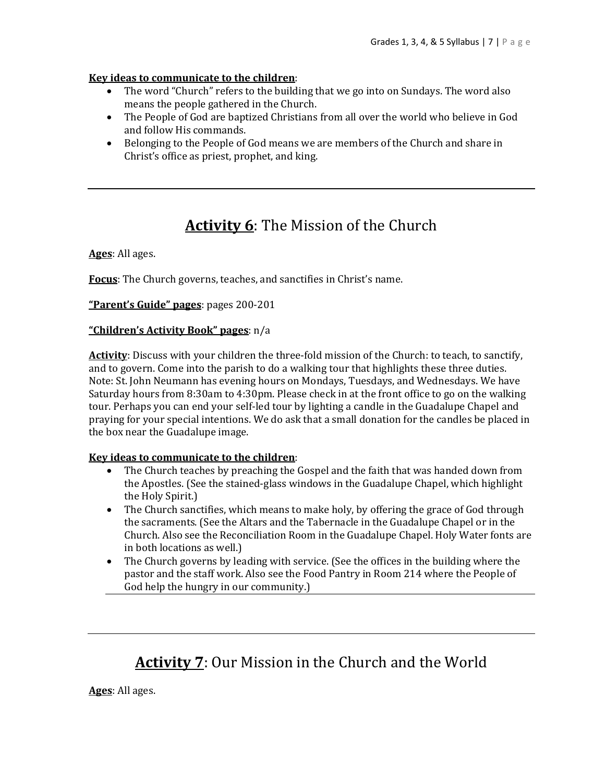#### **Key ideas to communicate to the children**:

- The word "Church" refers to the building that we go into on Sundays. The word also means the people gathered in the Church.
- The People of God are baptized Christians from all over the world who believe in God and follow His commands.
- Belonging to the People of God means we are members of the Church and share in Christ's office as priest, prophet, and king.

## **Activity 6**: The Mission of the Church

**Ages**: All ages.

**Focus**: The Church governs, teaches, and sanctifies in Christ's name.

**"Parent's Guide" pages**: pages 200-201

#### **"Children's Activity Book" pages**: n/a

**Activity**: Discuss with your children the three-fold mission of the Church: to teach, to sanctify, and to govern. Come into the parish to do a walking tour that highlights these three duties. Note: St. John Neumann has evening hours on Mondays, Tuesdays, and Wednesdays. We have Saturday hours from 8:30am to 4:30pm. Please check in at the front office to go on the walking tour. Perhaps you can end your self-led tour by lighting a candle in the Guadalupe Chapel and praying for your special intentions. We do ask that a small donation for the candles be placed in the box near the Guadalupe image.

#### **Key ideas to communicate to the children**:

- The Church teaches by preaching the Gospel and the faith that was handed down from the Apostles. (See the stained-glass windows in the Guadalupe Chapel, which highlight the Holy Spirit.)
- The Church sanctifies, which means to make holy, by offering the grace of God through the sacraments. (See the Altars and the Tabernacle in the Guadalupe Chapel or in the Church. Also see the Reconciliation Room in the Guadalupe Chapel. Holy Water fonts are in both locations as well.)
- The Church governs by leading with service. (See the offices in the building where the pastor and the staff work. Also see the Food Pantry in Room 214 where the People of God help the hungry in our community.)

### **Activity 7**: Our Mission in the Church and the World

**Ages**: All ages.